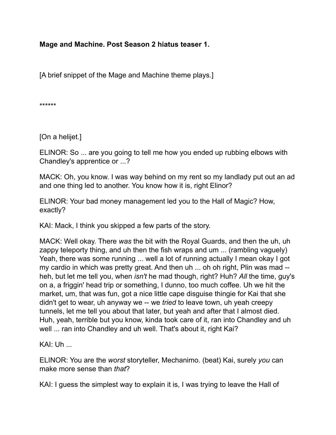**Mage and Machine. Post Season 2 hiatus teaser 1.**

[A brief snippet of the Mage and Machine theme plays.]

\*\*\*\*\*\*

[On a helijet.]

ELINOR: So ... are you going to tell me how you ended up rubbing elbows with Chandley's apprentice or ...?

MACK: Oh, you know. I was way behind on my rent so my landlady put out an ad and one thing led to another. You know how it is, right Elinor?

ELINOR: Your bad money management led you to the Hall of Magic? How, exactly?

KAI: Mack, I think you skipped a few parts of the story.

MACK: Well okay. There *was* the bit with the Royal Guards, and then the uh, uh zappy teleporty thing, and uh then the fish wraps and um ... (rambling vaguely) Yeah, there was some running ... well a lot of running actually I mean okay I got my cardio in which was pretty great. And then uh ... oh oh right, Plin was mad - heh, but let me tell you, when *isn't* he mad though, right? Huh? *All* the time, guy's on a, a friggin' head trip or something, I dunno, too much coffee. Uh we hit the market, um, that was fun, got a nice little cape disguise thingie for Kai that she didn't get to wear, uh anyway we -- we *tried* to leave town, uh yeah creepy tunnels, let me tell you about that later, but yeah and after that I almost died. Huh, yeah, terrible but you know, kinda took care of it, ran into Chandley and uh well ... ran into Chandley and uh well. That's about it, right Kai?

KAI: Uh ...

ELINOR: You are the *worst* storyteller, Mechanimo. (beat) Kai, surely *you* can make more sense than *that*?

KAI: I guess the simplest way to explain it is, I was trying to leave the Hall of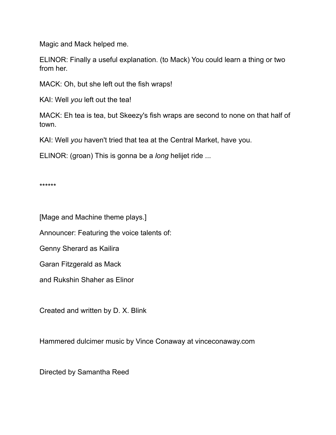Magic and Mack helped me.

ELINOR: Finally a useful explanation. (to Mack) You could learn a thing or two from her.

MACK: Oh, but she left out the fish wraps!

KAI: Well *you* left out the tea!

MACK: Eh tea is tea, but Skeezy's fish wraps are second to none on that half of town.

KAI: Well *you* haven't tried that tea at the Central Market, have you.

ELINOR: (groan) This is gonna be a *long* helijet ride ...

\*\*\*\*\*\*

[Mage and Machine theme plays.]

Announcer: Featuring the voice talents of:

Genny Sherard as Kailira

Garan Fitzgerald as Mack

and Rukshin Shaher as Elinor

Created and written by D. X. Blink

Hammered dulcimer music by Vince Conaway at vinceconaway.com

Directed by Samantha Reed